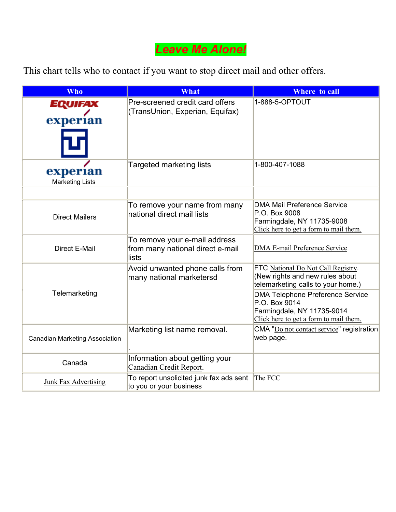# *Leave Me Alone!*

This chart tells who to contact if you want to stop direct mail and other offers.

| <b>Who</b>                         | <b>What</b>                                                                | <b>Where to call</b>                                                                                                                                                                                                                            |
|------------------------------------|----------------------------------------------------------------------------|-------------------------------------------------------------------------------------------------------------------------------------------------------------------------------------------------------------------------------------------------|
| EQUIFAX<br>experian                | Pre-screened credit card offers<br>(TransUnion, Experian, Equifax)         | 1-888-5-OPTOUT                                                                                                                                                                                                                                  |
| experian<br><b>Marketing Lists</b> | Targeted marketing lists                                                   | 1-800-407-1088                                                                                                                                                                                                                                  |
| <b>Direct Mailers</b>              | To remove your name from many<br>national direct mail lists                | <b>DMA Mail Preference Service</b><br>P.O. Box 9008<br>Farmingdale, NY 11735-9008<br>Click here to get a form to mail them.                                                                                                                     |
| <b>Direct E-Mail</b>               | To remove your e-mail address<br>from many national direct e-mail<br>lists | <b>DMA E-mail Preference Service</b>                                                                                                                                                                                                            |
| Telemarketing                      | Avoid unwanted phone calls from<br>many national marketersd                | FTC National Do Not Call Registry.<br>(New rights and new rules about<br>telemarketing calls to your home.)<br><b>DMA Telephone Preference Service</b><br>P.O. Box 9014<br>Farmingdale, NY 11735-9014<br>Click here to get a form to mail them. |
| Canadian Marketing Association     | Marketing list name removal.                                               | CMA "Do not contact service" registration<br>web page.                                                                                                                                                                                          |
| Canada                             | Information about getting your<br>Canadian Credit Report.                  |                                                                                                                                                                                                                                                 |
| <b>Junk Fax Advertising</b>        | To report unsolicited junk fax ads sent<br>to you or your business         | The FCC                                                                                                                                                                                                                                         |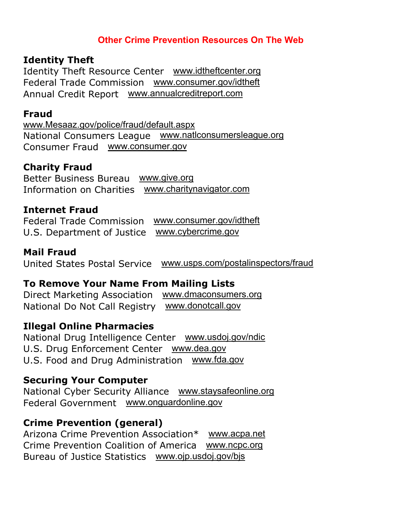## **Other Crime Prevention Resources On The Web**

### **Identity Theft**

Identity Theft Resource Center www.idtheftcenter.org Federal Trade Commission www.consumer.gov/idtheft Annual Credit Report www.annualcreditreport.com

### **Fraud**

www.Mesaaz.gov/police/fraud/default.aspx National Consumers League www.natlconsumersleague.org Consumer Fraud www.consumer.gov

# **Charity Fraud**

Better Business Bureau www.give.org Information on Charities www.charitynavigator.com

# **Internet Fraud**

Federal Trade Commission www.consumer.gov/idtheft U.S. Department of Justice www.cybercrime.gov

## **Mail Fraud**

United States Postal Service www.usps.com/postalinspectors/fraud

### **To Remove Your Name From Mailing Lists**

Direct Marketing Association www.dmaconsumers.org National Do Not Call Registry www.donotcall.gov

### **Illegal Online Pharmacies**

National Drug Intelligence Center www.usdoj.gov/ndic U.S. Drug Enforcement Center www.dea.gov U.S. Food and Drug Administration www.fda.gov

# **Securing Your Computer**

National Cyber Security Alliance www.staysafeonline.org Federal Government www.onguardonline.gov

# **Crime Prevention (general)**

Arizona Crime Prevention Association\* www.acpa.net Crime Prevention Coalition of America www.ncpc.org Bureau of Justice Statistics www.ojp.usdoj.gov/bjs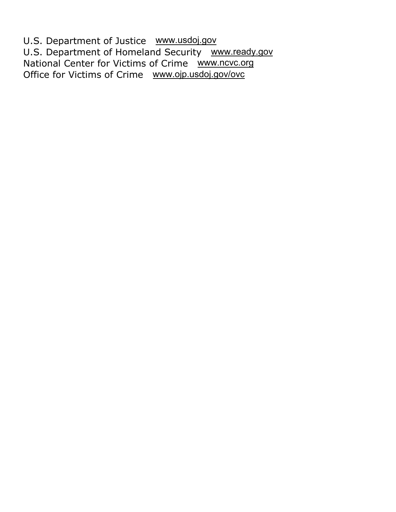U.S. Department of Justice www.usdoj.gov U.S. Department of Homeland Security www.ready.gov National Center for Victims of Crime www.ncvc.org Office for Victims of Crime www.ojp.usdoj.gov/ovc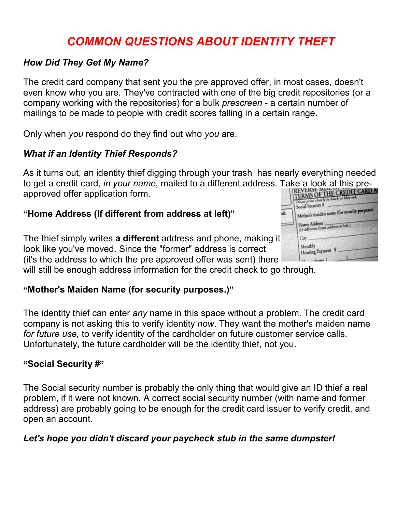# *COMMON QUESTIONS ABOUT IDENTITY THEFT*

#### *How Did They Get My Name?*

The credit card company that sent you the pre approved offer, in most cases, doesn't even know who you are. They've contracted with one of the big credit repositories (or a company working with the repositories) for a bulk *prescreen* - a certain number of mailings to be made to people with credit scores falling in a certain range.

Only when *you* respond do they find out who *you* are.

### *What if an Identity Thief Responds?*

As it turns out, an identity thief digging through your trash has nearly everything needed to get a credit card, *in your name*, mailed to a different address. Take a look at this preapproved offer application form.

# "**Home Address (If different from address at left)** "

The thief simply writes **a different** address and phone, making it look like you've moved. Since the "former" address is correct (it's the address to which the pre approved offer was sent) there

will still be enough address information for the credit check to go through.

# "**Mother's Maiden Name (for security purposes.)** "

The identity thief can enter *any* name in this space without a problem. The credit card company is not asking this to verify identity *now*. They want the mother's maiden name *for future use,* to verify identity of the cardholder on future customer service calls. Unfortunately, the future cardholder will be the identity thief, not you.

# " **Social Security #**"

The Social security number is probably the only thing that would give an ID thief a real problem, if it were not known. A correct social security number (with name and former address) are probably going to be enough for the credit card issuer to verify credit, and open an account.

#### *Let's hope you didn't discard your paycheck stub in the same dumpster!*

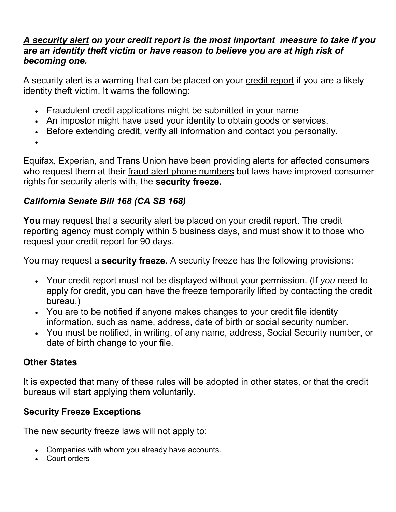#### *A security alert on your credit report is the most important measure to take if you are an identity theft victim or have reason to believe you are at high risk of becoming one.*

A security alert is a warning that can be placed on your credit report if you are a likely identity theft victim. It warns the following:

- Fraudulent credit applications might be submitted in your name
- An impostor might have used your identity to obtain goods or services.
- Before extending credit, verify all information and contact you personally.

•

Equifax, Experian, and Trans Union have been providing alerts for affected consumers who request them at their fraud alert phone numbers but laws have improved consumer rights for security alerts with, the **security freeze.**

## *California Senate Bill 168 (CA SB 168)*

**You** may request that a security alert be placed on your credit report. The credit reporting agency must comply within 5 business days, and must show it to those who request your credit report for 90 days.

You may request a **security freeze**. A security freeze has the following provisions:

- Your credit report must not be displayed without your permission. (If *you* need to apply for credit, you can have the freeze temporarily lifted by contacting the credit bureau.)
- You are to be notified if anyone makes changes to your credit file identity information, such as name, address, date of birth or social security number.
- You must be notified, in writing, of any name, address, Social Security number, or date of birth change to your file.

# **Other States**

It is expected that many of these rules will be adopted in other states, or that the credit bureaus will start applying them voluntarily.

# **Security Freeze Exceptions**

The new security freeze laws will not apply to:

- Companies with whom you already have accounts.
- Court orders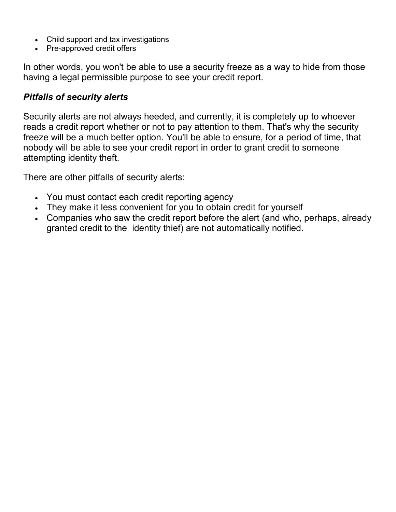- Child support and tax investigations
- Pre-approved credit offers

In other words, you won't be able to use a security freeze as a way to hide from those having a legal permissible purpose to see your credit report.

#### *Pitfalls of security alerts*

Security alerts are not always heeded, and currently, it is completely up to whoever reads a credit report whether or not to pay attention to them. That's why the security freeze will be a much better option. You'll be able to ensure, for a period of time, that nobody will be able to see your credit report in order to grant credit to someone attempting identity theft.

There are other pitfalls of security alerts:

- You must contact each credit reporting agency
- They make it less convenient for you to obtain credit for yourself
- Companies who saw the credit report before the alert (and who, perhaps, already granted credit to the identity thief) are not automatically notified.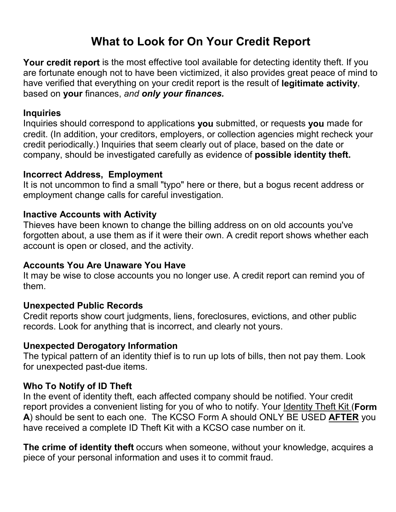# **What to Look for On Your Credit Report**

**Your credit report** is the most effective tool available for detecting identity theft. If you are fortunate enough not to have been victimized, it also provides great peace of mind to have verified that everything on your credit report is the result of **legitimate activity**, based on **your** finances, *and only your finances.*

#### **Inquiries**

Inquiries should correspond to applications **you** submitted, or requests **you** made for credit. (In addition, your creditors, employers, or collection agencies might recheck your credit periodically.) Inquiries that seem clearly out of place, based on the date or company, should be investigated carefully as evidence of **possible identity theft.**

#### **Incorrect Address, Employment**

It is not uncommon to find a small "typo" here or there, but a bogus recent address or employment change calls for careful investigation.

#### **Inactive Accounts with Activity**

Thieves have been known to change the billing address on on old accounts you've forgotten about, a use them as if it were their own. A credit report shows whether each account is open or closed, and the activity.

#### **Accounts You Are Unaware You Have**

It may be wise to close accounts you no longer use. A credit report can remind you of them.

#### **Unexpected Public Records**

Credit reports show court judgments, liens, foreclosures, evictions, and other public records. Look for anything that is incorrect, and clearly not yours.

#### **Unexpected Derogatory Information**

The typical pattern of an identity thief is to run up lots of bills, then not pay them. Look for unexpected past-due items.

#### **Who To Notify of ID Theft**

In the event of identity theft, each affected company should be notified. Your credit report provides a convenient listing for you of who to notify. Your Identity Theft Kit (**Form A**) should be sent to each one. The KCSO Form A should ONLY BE USED **AFTER** you have received a complete ID Theft Kit with a KCSO case number on it.

**The crime of identity theft** occurs when someone, without your knowledge, acquires a piece of your personal information and uses it to commit fraud.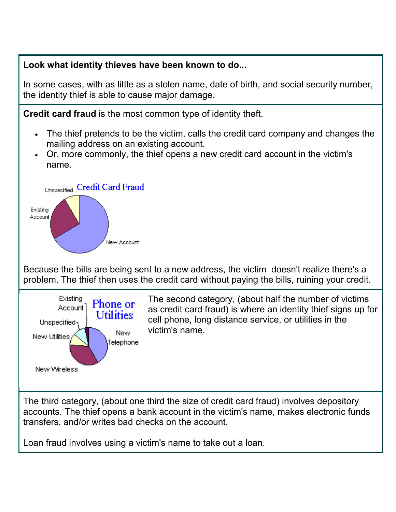#### **Look what identity thieves have been known to do...**

In some cases, with as little as a stolen name, date of birth, and social security number, the identity thief is able to cause major damage.

**Credit card fraud** is the most common type of identity theft.

- The thief pretends to be the victim, calls the credit card company and changes the mailing address on an existing account.
- Or, more commonly, the thief opens a new credit card account in the victim's name.



Because the bills are being sent to a new address, the victim doesn't realize there's a problem. The thief then uses the credit card without paying the bills, ruining your credit.



The third category, (about one third the size of credit card fraud) involves depository accounts. The thief opens a bank account in the victim's name, makes electronic funds transfers, and/or writes bad checks on the account.

Loan fraud involves using a victim's name to take out a loan.